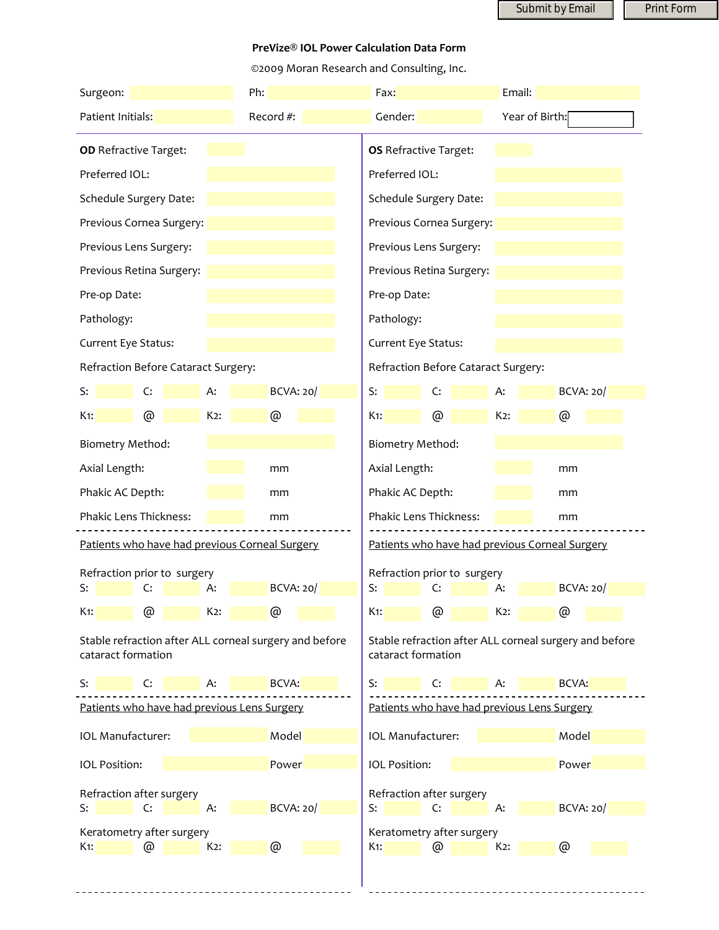Submit by Email **Print Form** 

## **PreVize® IOL Power Calculation Data Form**

©2009 Moran Research and Consulting, Inc.

| Surgeon:                                    |                                                        |                           | Ph:                                                                          | Fax:                         |                              | Email:           |                  |  |
|---------------------------------------------|--------------------------------------------------------|---------------------------|------------------------------------------------------------------------------|------------------------------|------------------------------|------------------|------------------|--|
| Patient Initials:                           |                                                        |                           | Record #:                                                                    | Gender:                      |                              |                  | Year of Birth:   |  |
| <b>OD</b> Refractive Target:                |                                                        |                           |                                                                              | <b>OS</b> Refractive Target: |                              |                  |                  |  |
| Preferred IOL:                              |                                                        |                           | Preferred IOL:                                                               |                              |                              |                  |                  |  |
| Schedule Surgery Date:                      |                                                        |                           |                                                                              |                              | Schedule Surgery Date:       |                  |                  |  |
| Previous Cornea Surgery:                    |                                                        |                           |                                                                              | Previous Cornea Surgery:     |                              |                  |                  |  |
| Previous Lens Surgery:                      |                                                        |                           |                                                                              | Previous Lens Surgery:       |                              |                  |                  |  |
| Previous Retina Surgery:                    |                                                        |                           |                                                                              | Previous Retina Surgery:     |                              |                  |                  |  |
| Pre-op Date:                                |                                                        |                           |                                                                              | Pre-op Date:                 |                              |                  |                  |  |
| Pathology:                                  |                                                        |                           |                                                                              |                              | Pathology:                   |                  |                  |  |
| Current Eye Status:                         |                                                        |                           |                                                                              |                              | Current Eye Status:          |                  |                  |  |
| Refraction Before Cataract Surgery:         |                                                        |                           | Refraction Before Cataract Surgery:                                          |                              |                              |                  |                  |  |
| S:                                          | C:                                                     | А:                        | <b>BCVA: 20/</b>                                                             | S:                           | C:                           | А:               | <b>BCVA: 20/</b> |  |
| $K1$ :                                      | @                                                      | $K2$ :                    | @                                                                            | $K1$ :                       | @                            | $K2$ :           | @                |  |
| <b>Biometry Method:</b>                     |                                                        | <b>Biometry Method:</b>   |                                                                              |                              |                              |                  |                  |  |
| Axial Length:<br>mm                         |                                                        |                           |                                                                              |                              | Axial Length:<br>mm          |                  |                  |  |
| Phakic AC Depth:                            |                                                        |                           | mm                                                                           |                              | Phakic AC Depth:             |                  |                  |  |
| Phakic Lens Thickness:                      |                                                        |                           | mm                                                                           |                              | Phakic Lens Thickness:<br>mm |                  |                  |  |
|                                             | Patients who have had previous Corneal Surgery         |                           | Patients who have had previous Corneal Surgery                               |                              |                              |                  |                  |  |
| Refraction prior to surgery                 |                                                        |                           | Refraction prior to surgery                                                  |                              |                              |                  |                  |  |
| S:                                          | C:                                                     | А:                        | <b>BCVA: 20/</b>                                                             | S:                           | C:                           | A:               | BCVA: 20/        |  |
| $K1$ :                                      | @                                                      | K <sub>2</sub> :          | @                                                                            | K <sub>1</sub> :             | @                            | K <sub>2</sub> : | @                |  |
| cataract formation                          | Stable refraction after ALL corneal surgery and before |                           | Stable refraction after ALL corneal surgery and before<br>cataract formation |                              |                              |                  |                  |  |
| S:                                          | C:                                                     | A:                        | BCVA:                                                                        | S:                           | C:                           | A:               | BCVA:            |  |
| Patients who have had previous Lens Surgery |                                                        |                           | Patients who have had previous Lens Surgery                                  |                              |                              |                  |                  |  |
| IOL Manufacturer:<br>Model                  |                                                        |                           |                                                                              |                              | IOL Manufacturer:<br>Model   |                  |                  |  |
| <b>IOL Position:</b>                        |                                                        |                           | Power                                                                        | <b>IOL Position:</b>         |                              |                  | Power            |  |
| Refraction after surgery                    |                                                        |                           | Refraction after surgery                                                     |                              |                              |                  |                  |  |
| S:                                          | C:                                                     | А:                        | <b>BCVA: 20/</b>                                                             | S:                           | C:                           | A:               | <b>BCVA: 20/</b> |  |
| Keratometry after surgery                   | @                                                      | Keratometry after surgery | @                                                                            |                              | @                            |                  |                  |  |
| $K1$ :                                      | @                                                      | $K2$ :                    |                                                                              | $K1$ :                       |                              | $K2$ :           |                  |  |